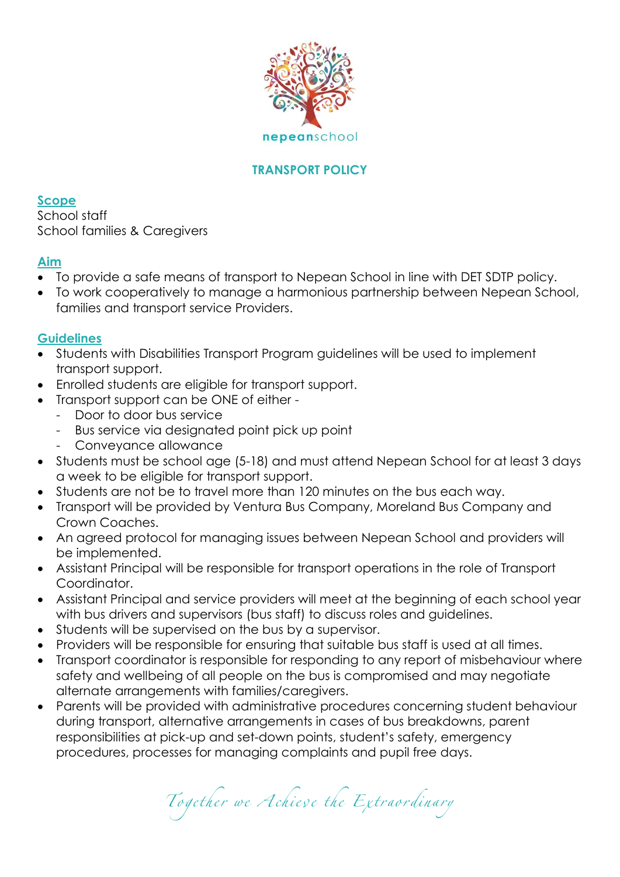

# **TRANSPORT POLICY**

**Scope** School staff School families & Caregivers

### **Aim**

- To provide a safe means of transport to Nepean School in line with DET SDTP policy.
- To work cooperatively to manage a harmonious partnership between Nepean School, families and transport service Providers.

#### **Guidelines**

- Students with Disabilities Transport Program guidelines will be used to implement transport support.
- Enrolled students are eligible for transport support.
	- Transport support can be ONE of either
		- Door to door bus service
		- Bus service via designated point pick up point
		- Conveyance allowance
- Students must be school age (5-18) and must attend Nepean School for at least 3 days a week to be eligible for transport support.
- Students are not be to travel more than 120 minutes on the bus each way.
- Transport will be provided by Ventura Bus Company, Moreland Bus Company and Crown Coaches.
- An agreed protocol for managing issues between Nepean School and providers will be implemented.
- Assistant Principal will be responsible for transport operations in the role of Transport Coordinator.
- Assistant Principal and service providers will meet at the beginning of each school year with bus drivers and supervisors (bus staff) to discuss roles and guidelines.
- Students will be supervised on the bus by a supervisor.
- Providers will be responsible for ensuring that suitable bus staff is used at all times.
- Transport coordinator is responsible for responding to any report of misbehaviour where safety and wellbeing of all people on the bus is compromised and may negotiate alternate arrangements with families/caregivers.
- Parents will be provided with administrative procedures concerning student behaviour during transport, alternative arrangements in cases of bus breakdowns, parent responsibilities at pick-up and set-down points, student's safety, emergency procedures, processes for managing complaints and pupil free days.

Together we Achieve the Extraordinary